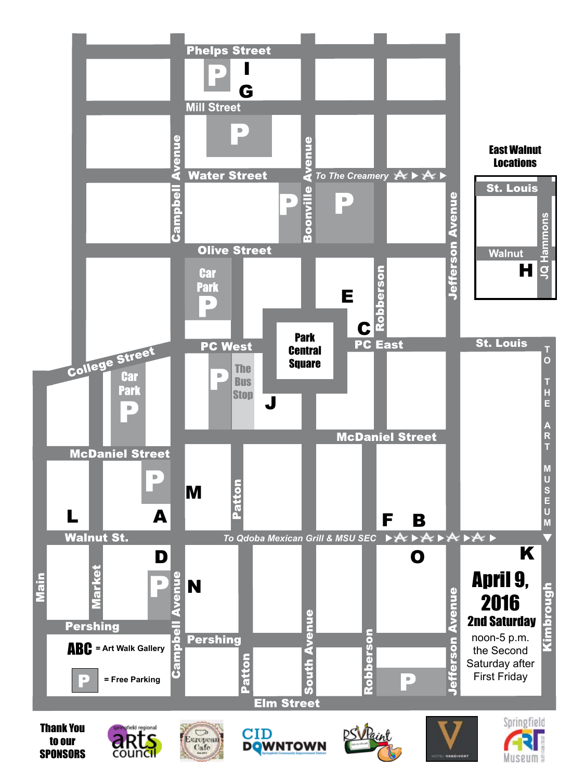